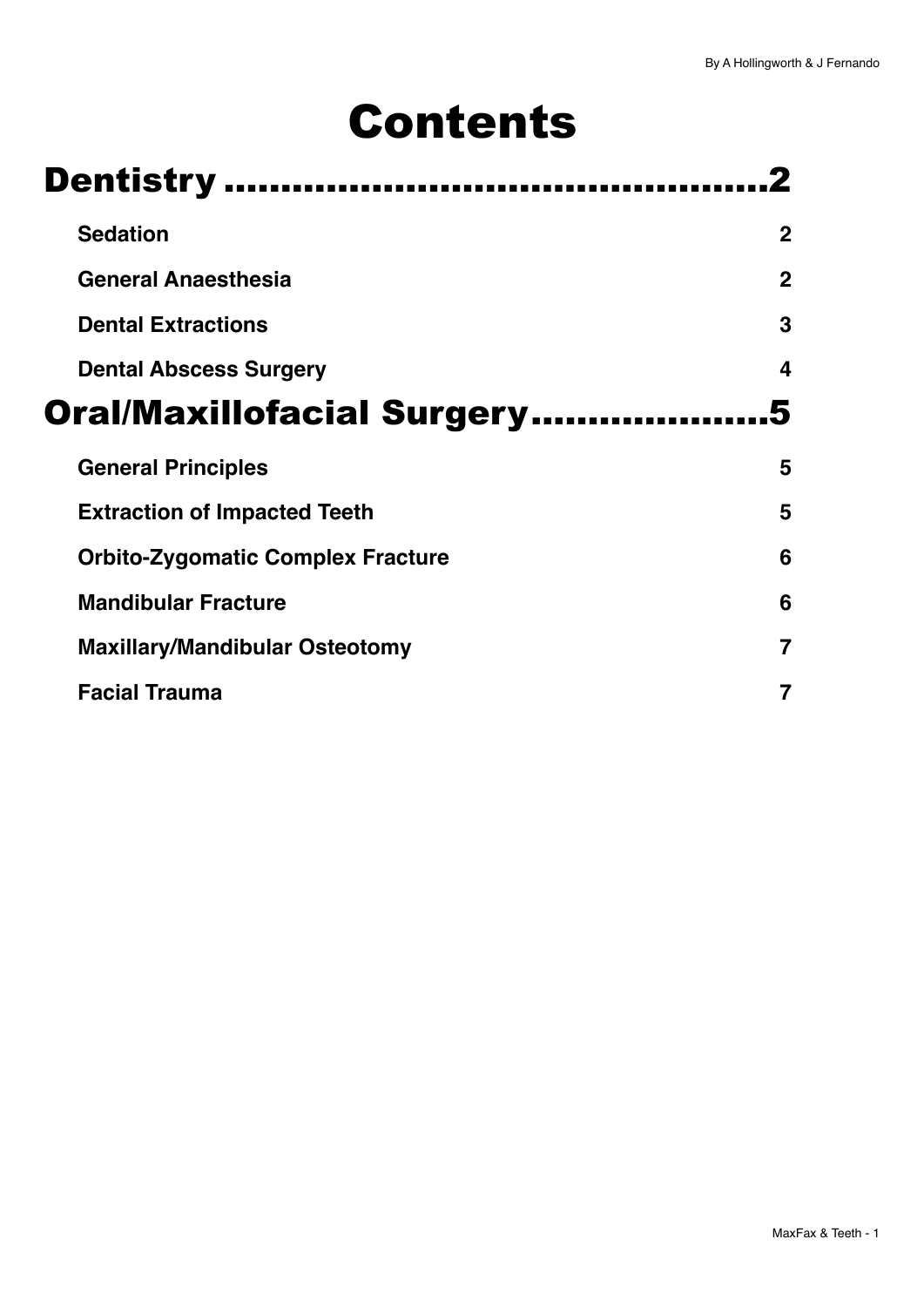# Contents

| <b>Dentistry </b>                        |             |  |
|------------------------------------------|-------------|--|
| <b>Sedation</b>                          | $\mathbf 2$ |  |
| <b>General Anaesthesia</b>               | $\mathbf 2$ |  |
| <b>Dental Extractions</b>                | 3           |  |
| <b>Dental Abscess Surgery</b>            | 4           |  |
| <b>Oral/Maxillofacial Surgery</b>        |             |  |
|                                          |             |  |
| <b>General Principles</b>                | 5           |  |
| <b>Extraction of Impacted Teeth</b>      | 5           |  |
| <b>Orbito-Zygomatic Complex Fracture</b> | 6           |  |
| <b>Mandibular Fracture</b>               | 6           |  |
| <b>Maxillary/Mandibular Osteotomy</b>    |             |  |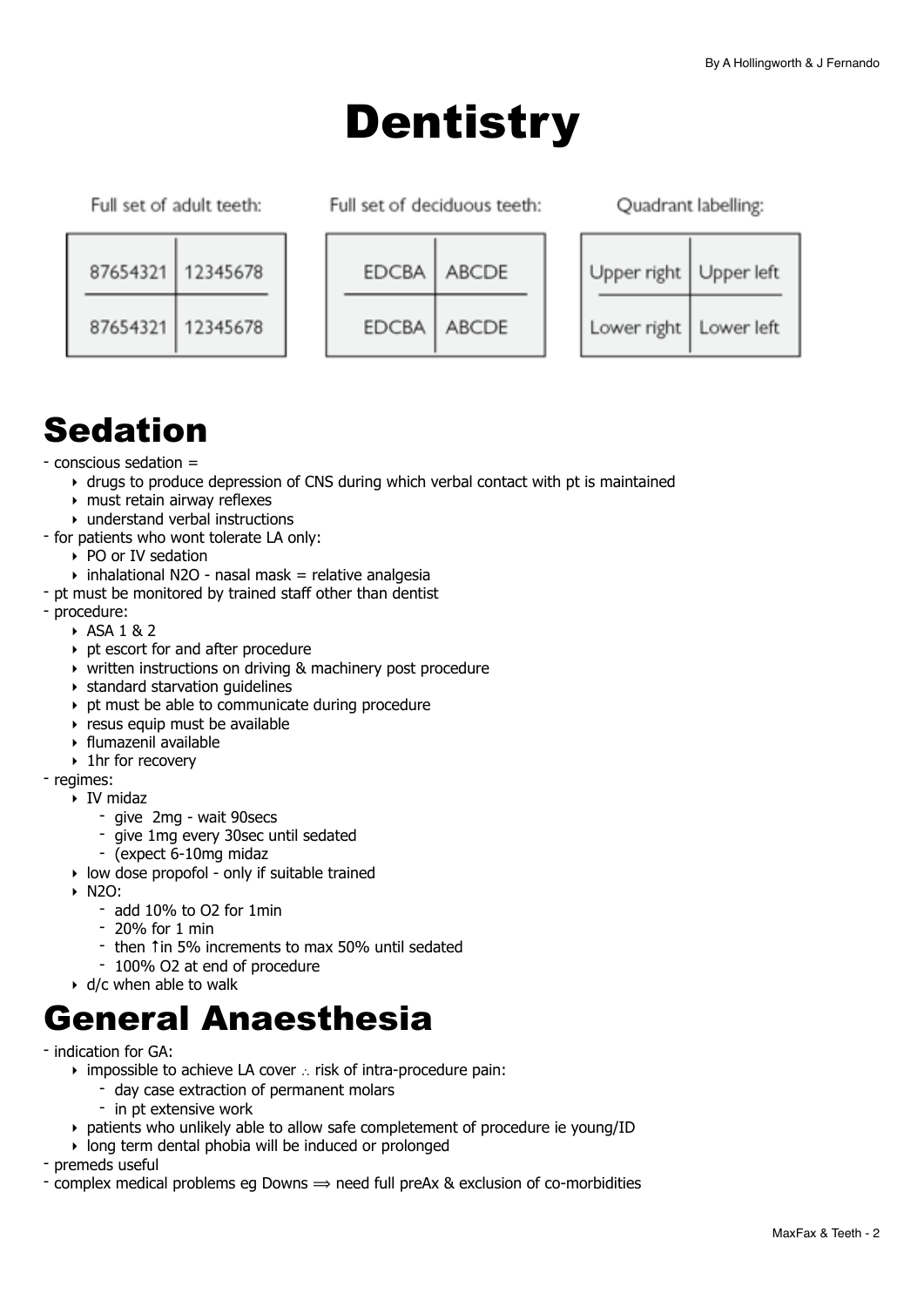## <span id="page-1-0"></span>**Dentistry**

Full set of adult teeth:

Full set of deciduous teeth:

Ouadrant labelling:

| 87654321 | 12345678 |
|----------|----------|
| 87654321 | 12345678 |

| <b>EDCBA</b> | ABCDE        |
|--------------|--------------|
| <b>EDCBA</b> | <b>ABCDE</b> |

| Upper right | Upper left |
|-------------|------------|
| Lower right | Lower left |

## <span id="page-1-1"></span>Sedation

#### - conscious sedation =

- ‣ drugs to produce depression of CNS during which verbal contact with pt is maintained
- ‣ must retain airway reflexes
- ‣ understand verbal instructions
- for patients who wont tolerate LA only:
	- ‣ PO or IV sedation
	- $\rightarrow$  inhalational N2O nasal mask = relative analgesia
- pt must be monitored by trained staff other than dentist
- procedure:
	- ‣ ASA 1 & 2
	- ‣ pt escort for and after procedure
	- ‣ written instructions on driving & machinery post procedure
	- ‣ standard starvation guidelines
	- ‣ pt must be able to communicate during procedure
	- $\rightarrow$  resus equip must be available
	- ‣ flumazenil available
	- ‣ 1hr for recovery

#### - regimes:

- ‣ IV midaz
	- give 2mg wait 90secs
	- give 1mg every 30sec until sedated
	- (expect 6-10mg midaz
- ‣ low dose propofol only if suitable trained
- ‣ N2O:
	- add 10% to O2 for 1min
	- 20% for 1 min
	- then ↑in 5% increments to max 50% until sedated
	- 100% O2 at end of procedure
- ‣ d/c when able to walk

## <span id="page-1-2"></span>General Anaesthesia

- indication for GA:
	- ‣ impossible to achieve LA cover ∴ risk of intra-procedure pain:
		- day case extraction of permanent molars
		- in pt extensive work
	- ‣ patients who unlikely able to allow safe completement of procedure ie young/ID
	- ‣ long term dental phobia will be induced or prolonged

- premeds useful

- complex medical problems eg Downs  $\Rightarrow$  need full preAx & exclusion of co-morbidities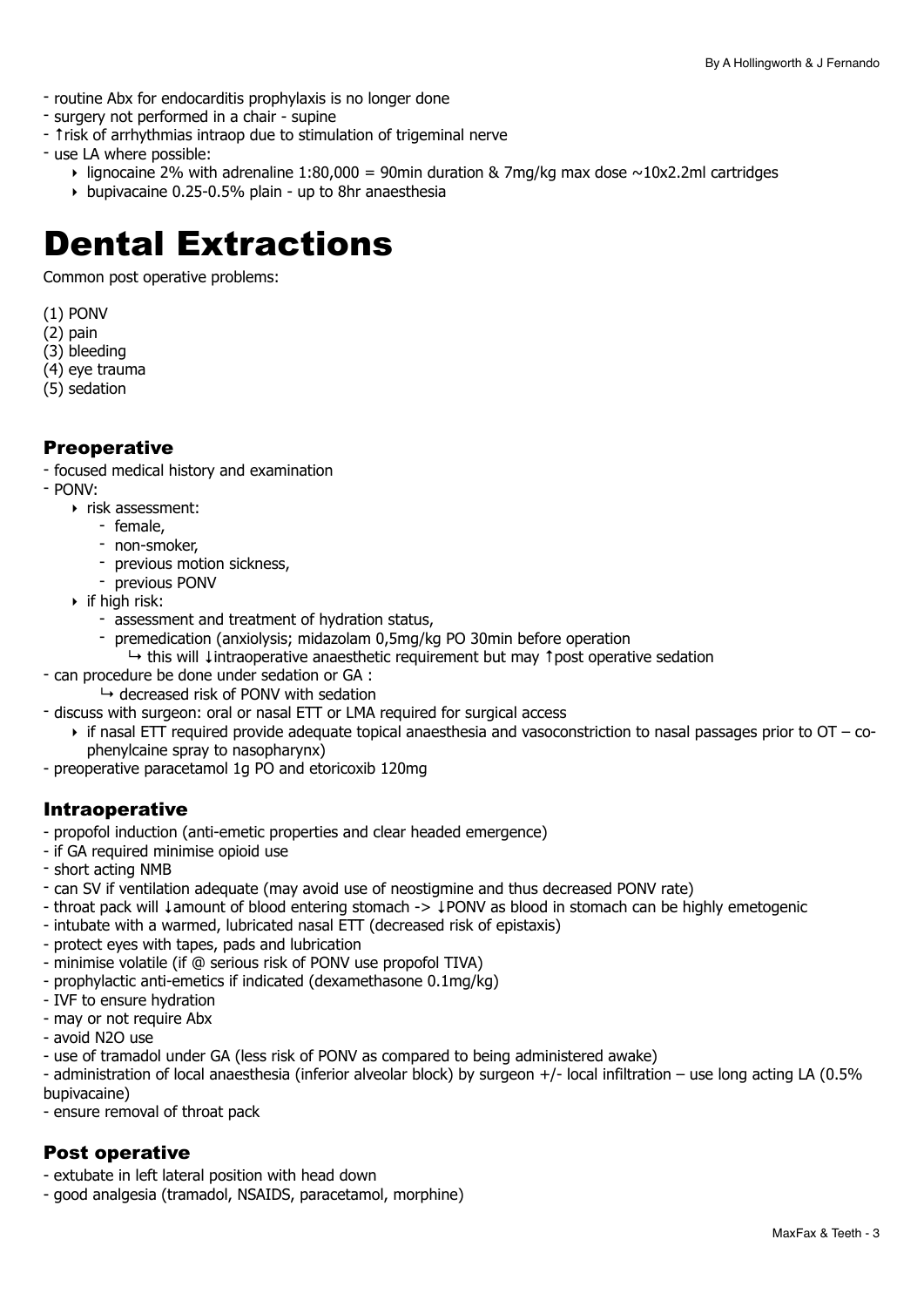- routine Abx for endocarditis prophylaxis is no longer done
- surgery not performed in a chair supine
- ↑risk of arrhythmias intraop due to stimulation of trigeminal nerve
- use LA where possible:
	- $\rightarrow$  lignocaine 2% with adrenaline 1:80,000 = 90min duration & 7mg/kg max dose  $\sim$ 10x2.2ml cartridges
	- ‣ bupivacaine 0.25-0.5% plain up to 8hr anaesthesia

## <span id="page-2-0"></span>Dental Extractions

Common post operative problems:

- (1) PONV
- (2) pain
- (3) bleeding
- (4) eye trauma
- (5) sedation

#### **Preoperative**

- focused medical history and examination
- PONV:
	- ‣ risk assessment:
		- female,
		- non-smoker,
		- previous motion sickness,
		- previous PONV
	- $\triangleright$  if high risk:
		- assessment and treatment of hydration status,
		- premedication (anxiolysis; midazolam 0,5mg/kg PO 30min before operation
		- ↳ this will ↓intraoperative anaesthetic requirement but may ↑post operative sedation
- can procedure be done under sedation or GA :
	- $\rightarrow$  decreased risk of PONV with sedation
- discuss with surgeon: oral or nasal ETT or LMA required for surgical access
	- $\triangleright$  if nasal ETT required provide adequate topical anaesthesia and vasoconstriction to nasal passages prior to OT cophenylcaine spray to nasopharynx)
- preoperative paracetamol 1g PO and etoricoxib 120mg

#### Intraoperative

- propofol induction (anti-emetic properties and clear headed emergence)
- if GA required minimise opioid use
- short acting NMB
- can SV if ventilation adequate (may avoid use of neostigmine and thus decreased PONV rate)
- throat pack will ↓amount of blood entering stomach -> ↓PONV as blood in stomach can be highly emetogenic
- intubate with a warmed, lubricated nasal ETT (decreased risk of epistaxis)
- protect eyes with tapes, pads and lubrication
- minimise volatile (if @ serious risk of PONV use propofol TIVA)
- prophylactic anti-emetics if indicated (dexamethasone 0.1mg/kg)
- IVF to ensure hydration
- may or not require Abx
- avoid N2O use
- use of tramadol under GA (less risk of PONV as compared to being administered awake)
- administration of local anaesthesia (inferior alveolar block) by surgeon +/- local infiltration use long acting LA (0.5% bupivacaine)
- ensure removal of throat pack

#### Post operative

- extubate in left lateral position with head down
- good analgesia (tramadol, NSAIDS, paracetamol, morphine)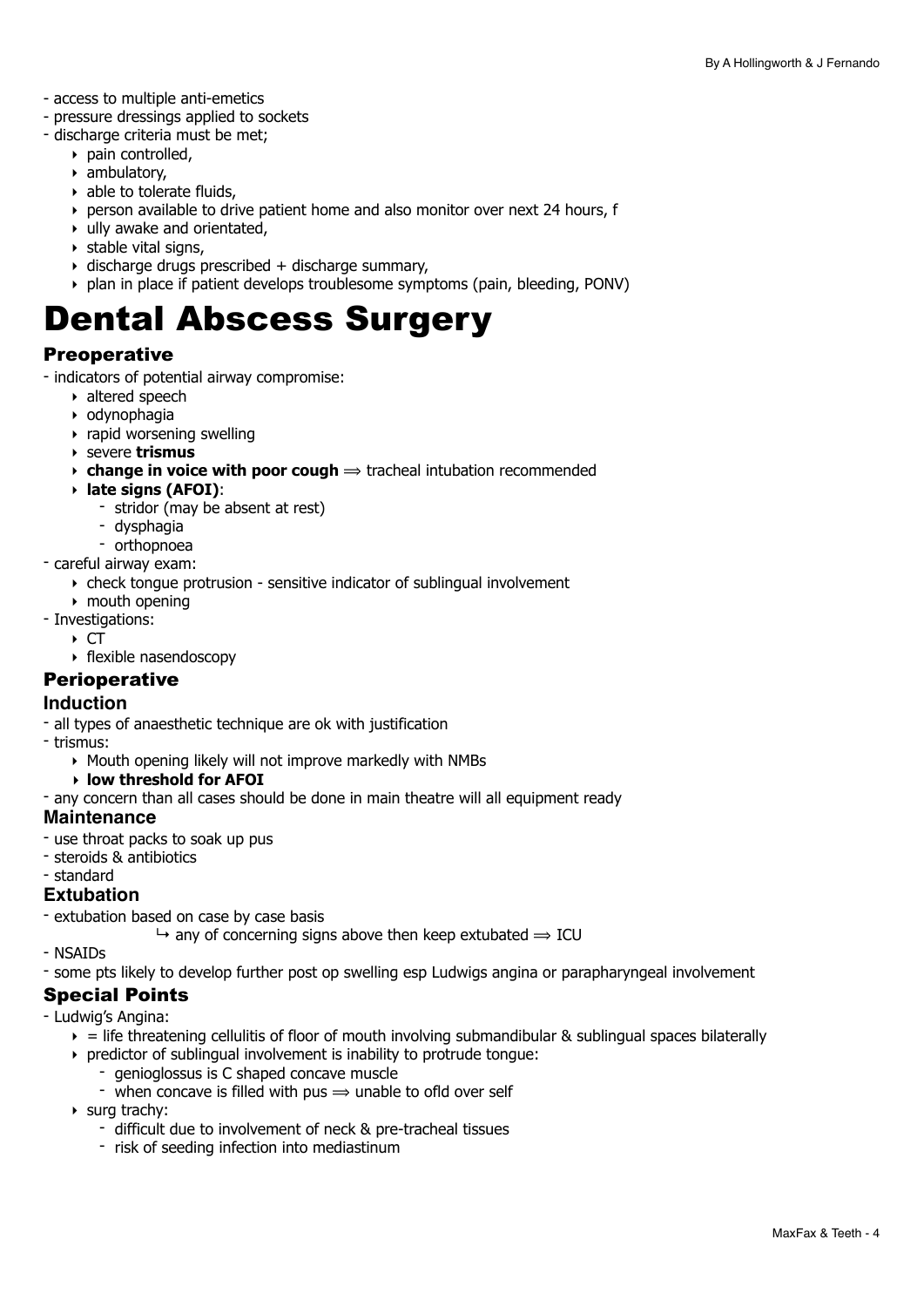- access to multiple anti-emetics
- pressure dressings applied to sockets
- discharge criteria must be met;
	- ‣ pain controlled,
	- ‣ ambulatory,
	- $\rightarrow$  able to tolerate fluids,
	- ‣ person available to drive patient home and also monitor over next 24 hours, f
	- $\cdot$  ully awake and orientated,
	- $\rightarrow$  stable vital signs,
	- $\rightarrow$  discharge drugs prescribed + discharge summary.
	- ‣ plan in place if patient develops troublesome symptoms (pain, bleeding, PONV)

## <span id="page-3-0"></span>Dental Abscess Surgery

#### **Preoperative**

- indicators of potential airway compromise:

- ‣ altered speech
- ‣ odynophagia
- $\rightarrow$  rapid worsening swelling
- ‣ severe **trismus**
- $\rightarrow$  **change in voice with poor cough**  $\Rightarrow$  tracheal intubation recommended
- ‣ **late signs (AFOI)**:
	- stridor (may be absent at rest)
	- dysphagia
	- orthopnoea
- careful airway exam:
	- ‣ check tongue protrusion sensitive indicator of sublingual involvement
	- ‣ mouth opening
- Investigations:
	- $\triangleright$  CT
	- ‣ flexible nasendoscopy

#### **Perioperative**

#### **Induction**

- all types of anaesthetic technique are ok with justification

- trismus:

- ‣ Mouth opening likely will not improve markedly with NMBs
	- **‣ low threshold for AFOI**
- any concern than all cases should be done in main theatre will all equipment ready

#### **Maintenance**

- use throat packs to soak up pus
- steroids & antibiotics
- standard

#### **Extubation**

- extubation based on case by case basis
	- $\rightarrow$  any of concerning signs above then keep extubated  $\rightarrow$  ICU
- NSAIDs
- some pts likely to develop further post op swelling esp Ludwigs angina or parapharyngeal involvement

#### Special Points

- Ludwig's Angina:
	- $\epsilon$  = life threatening cellulitis of floor of mouth involving submandibular & sublingual spaces bilaterally
	- ‣ predictor of sublingual involvement is inability to protrude tongue:
		- genioglossus is C shaped concave muscle
		- when concave is filled with pus  $\Rightarrow$  unable to ofld over self
	- ‣ surg trachy:
		- difficult due to involvement of neck & pre-tracheal tissues
		- risk of seeding infection into mediastinum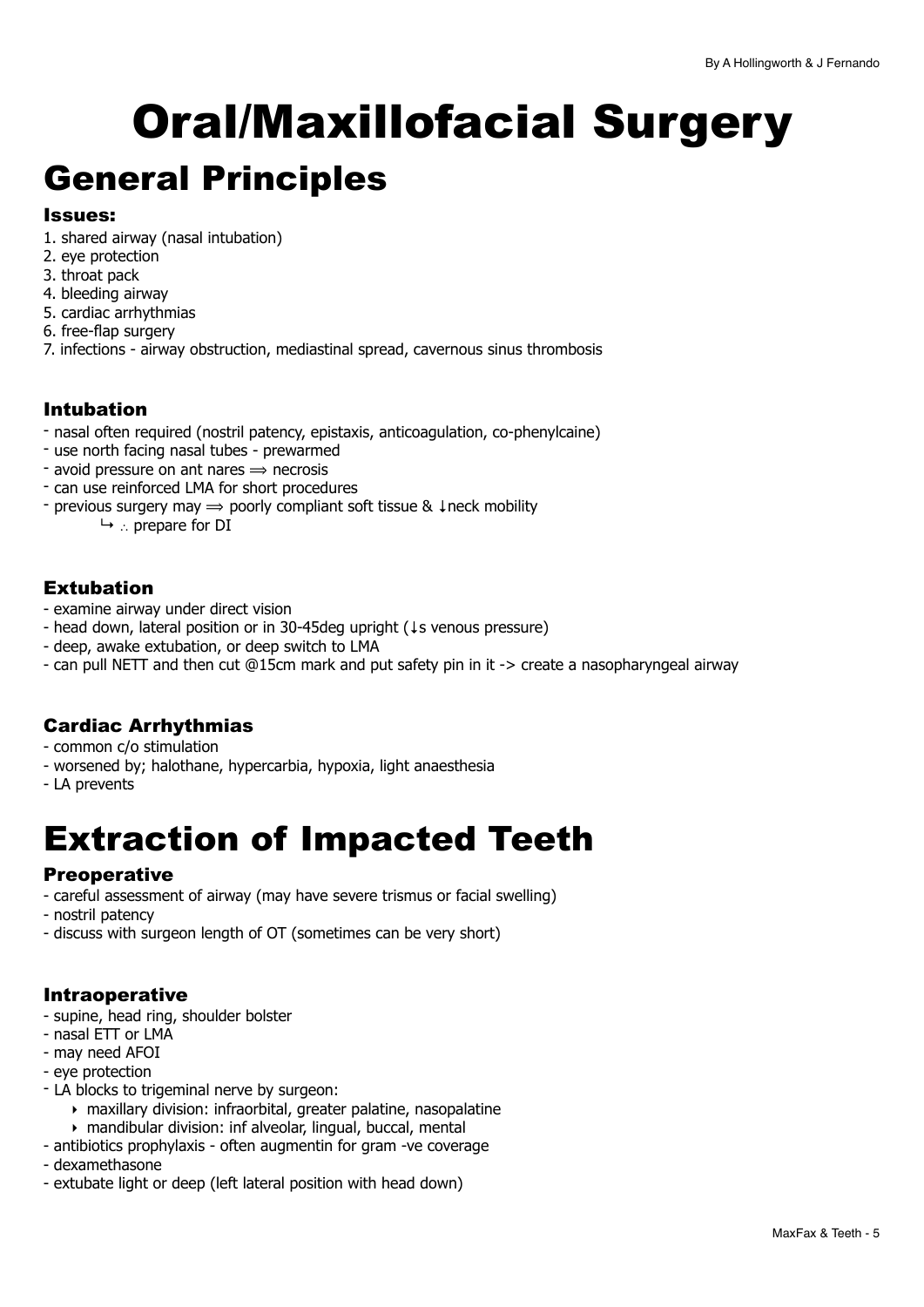# <span id="page-4-0"></span>Oral/Maxillofacial Surgery

## <span id="page-4-1"></span>General Principles

#### Issues:

- 1. shared airway (nasal intubation)
- 2. eye protection
- 3. throat pack
- 4. bleeding airway
- 5. cardiac arrhythmias
- 6. free-flap surgery
- 7. infections airway obstruction, mediastinal spread, cavernous sinus thrombosis

#### Intubation

- nasal often required (nostril patency, epistaxis, anticoagulation, co-phenylcaine)
- use north facing nasal tubes prewarmed
- avoid pressure on ant nares  $\Rightarrow$  necrosis
- can use reinforced LMA for short procedures
- previous surgery may ⟹ poorly compliant soft tissue & ↓neck mobility
	- ↳ ∴ prepare for DI

#### Extubation

- examine airway under direct vision
- head down, lateral position or in 30-45deg upright (↓s venous pressure)
- deep, awake extubation, or deep switch to LMA
- can pull NETT and then cut @15cm mark and put safety pin in it -> create a nasopharyngeal airway

#### Cardiac Arrhythmias

- common c/o stimulation
- worsened by; halothane, hypercarbia, hypoxia, light anaesthesia
- LA prevents

## <span id="page-4-2"></span>Extraction of Impacted Teeth

#### **Preoperative**

- careful assessment of airway (may have severe trismus or facial swelling)
- nostril patency
- discuss with surgeon length of OT (sometimes can be very short)

#### Intraoperative

- supine, head ring, shoulder bolster
- nasal ETT or LMA
- may need AFOI
- eye protection
- LA blocks to trigeminal nerve by surgeon:
	- ‣ maxillary division: infraorbital, greater palatine, nasopalatine
	- ‣ mandibular division: inf alveolar, lingual, buccal, mental
- antibiotics prophylaxis often augmentin for gram -ve coverage
- dexamethasone
- extubate light or deep (left lateral position with head down)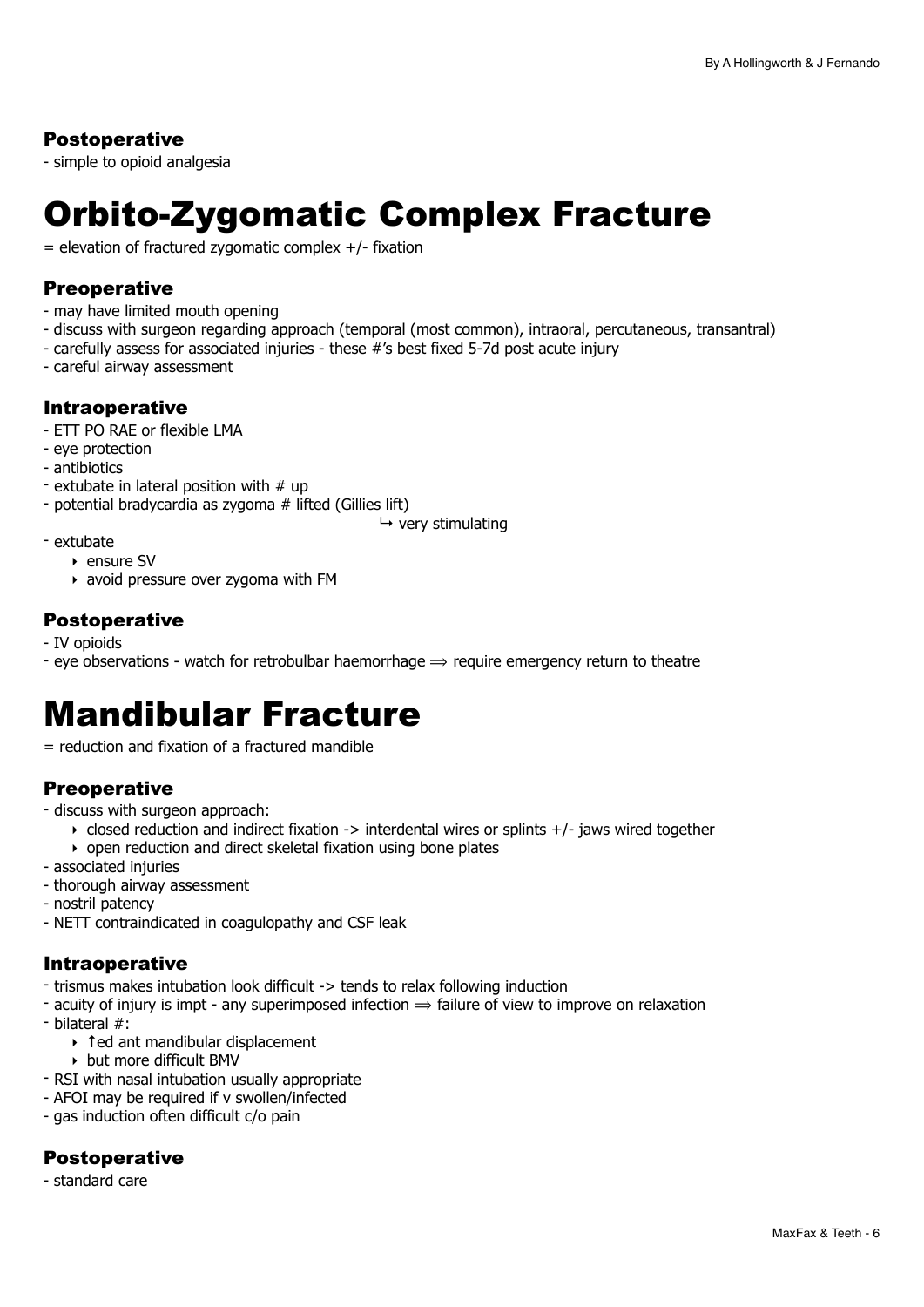#### Postoperative

- simple to opioid analgesia

## <span id="page-5-0"></span>Orbito-Zygomatic Complex Fracture

 $=$  elevation of fractured zygomatic complex  $+/-$  fixation

#### **Preoperative**

- may have limited mouth opening
- discuss with surgeon regarding approach (temporal (most common), intraoral, percutaneous, transantral)
- carefully assess for associated injuries these #'s best fixed 5-7d post acute injury
- careful airway assessment

#### Intraoperative

- ETT PO RAE or flexible LMA
- eye protection
- antibiotics
- extubate in lateral position with  $#$  up
- potential bradycardia as zygoma # lifted (Gillies lift)

 $ightharpoonup$  very stimulating

- extubate
	- ‣ ensure SV
	- ‣ avoid pressure over zygoma with FM

#### Postoperative

- IV opioids
- eye observations watch for retrobulbar haemorrhage  $\Rightarrow$  require emergency return to theatre

### <span id="page-5-1"></span>Mandibular Fracture

= reduction and fixation of a fractured mandible

#### **Preoperative**

- discuss with surgeon approach:
	- $\rightarrow$  closed reduction and indirect fixation -> interdental wires or splints +/- jaws wired together
	- ‣ open reduction and direct skeletal fixation using bone plates
- associated injuries
- thorough airway assessment
- nostril patency
- NETT contraindicated in coagulopathy and CSF leak

#### Intraoperative

- trismus makes intubation look difficult -> tends to relax following induction
- acuity of injury is impt any superimposed infection  $\Rightarrow$  failure of view to improve on relaxation
- bilateral #:
	- ‣ ↑ed ant mandibular displacement
	- ‣ but more difficult BMV
- RSI with nasal intubation usually appropriate
- AFOI may be required if v swollen/infected
- gas induction often difficult c/o pain

#### **Postoperative**

- standard care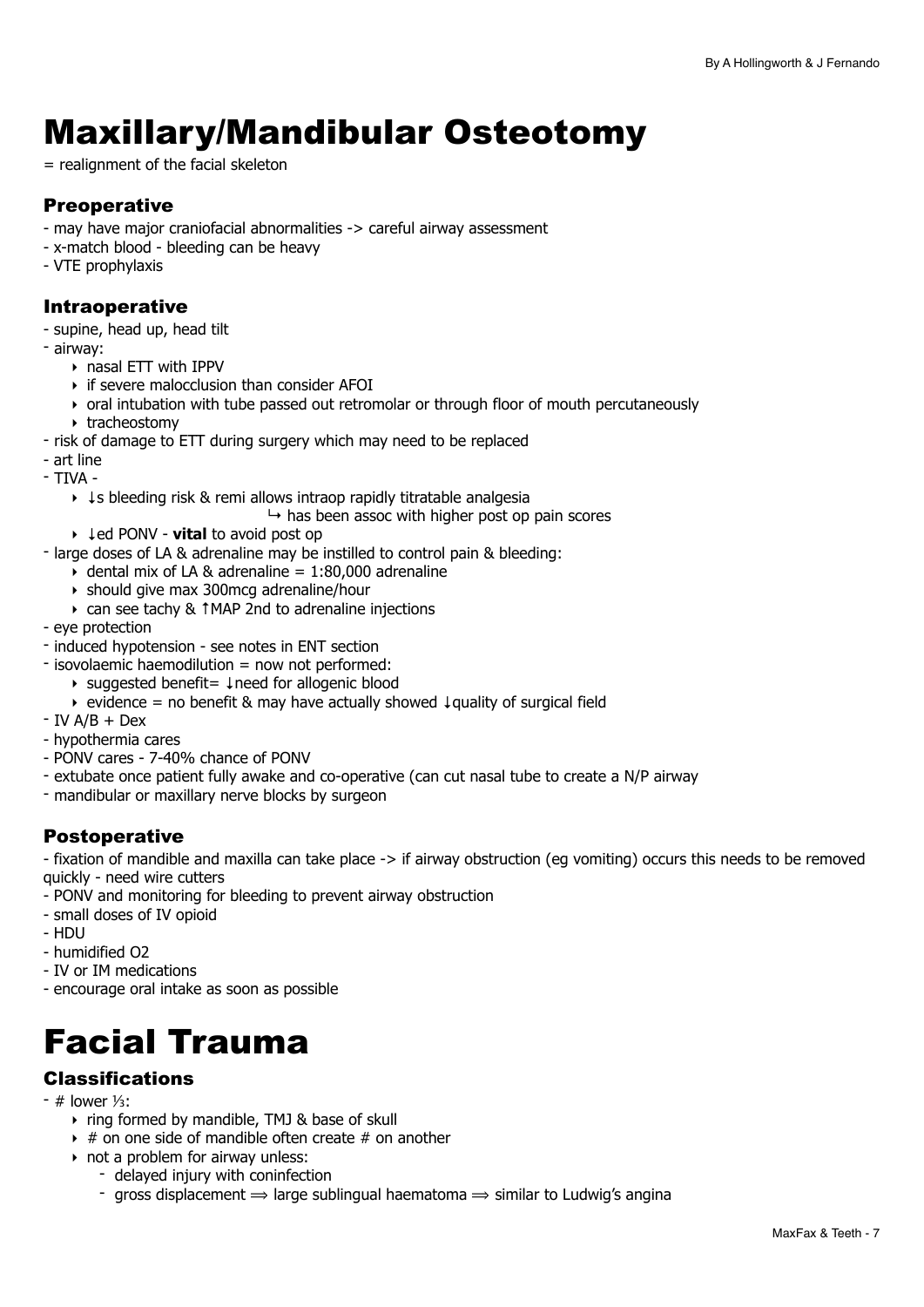## <span id="page-6-0"></span>Maxillary/Mandibular Osteotomy

= realignment of the facial skeleton

#### Preoperative

- may have major craniofacial abnormalities -> careful airway assessment
- x-match blood bleeding can be heavy
- VTE prophylaxis

#### Intraoperative

- supine, head up, head tilt
- airway:
	- ‣ nasal ETT with IPPV
	- ‣ if severe malocclusion than consider AFOI
	- ‣ oral intubation with tube passed out retromolar or through floor of mouth percutaneously
	- ‣ tracheostomy
- risk of damage to ETT during surgery which may need to be replaced
- art line
- TIVA
	- ‣ ↓s bleeding risk & remi allows intraop rapidly titratable analgesia
		- $\mapsto$  has been assoc with higher post op pain scores
	- ‣ ↓ed PONV **vital** to avoid post op
- large doses of LA & adrenaline may be instilled to control pain & bleeding:
	- $\rightarrow$  dental mix of LA & adrenaline = 1:80,000 adrenaline
	- ‣ should give max 300mcg adrenaline/hour
	- ‣ can see tachy & ↑MAP 2nd to adrenaline injections
- eye protection
- induced hypotension see notes in ENT section
- isovolaemic haemodilution = now not performed:
	- ‣ suggested benefit= ↓need for allogenic blood
	- ‣ evidence = no benefit & may have actually showed ↓quality of surgical field
- $-$  IV A/B  $+$  Dex
- hypothermia cares
- PONV cares 7-40% chance of PONV
- extubate once patient fully awake and co-operative (can cut nasal tube to create a N/P airway
- mandibular or maxillary nerve blocks by surgeon

#### Postoperative

- fixation of mandible and maxilla can take place -> if airway obstruction (eg vomiting) occurs this needs to be removed quickly - need wire cutters

- PONV and monitoring for bleeding to prevent airway obstruction
- small doses of IV opioid
- HDU
- humidified O2
- IV or IM medications
- encourage oral intake as soon as possible

## <span id="page-6-1"></span>Facial Trauma

#### Classifications

- # lower ⅓:
	- ‣ ring formed by mandible, TMJ & base of skull
	- $\rightarrow$  # on one side of mandible often create # on another
	- $\rightarrow$  not a problem for airway unless:
		- delayed injury with coninfection
		- gross displacement  $\Rightarrow$  large sublingual haematoma  $\Rightarrow$  similar to Ludwig's angina